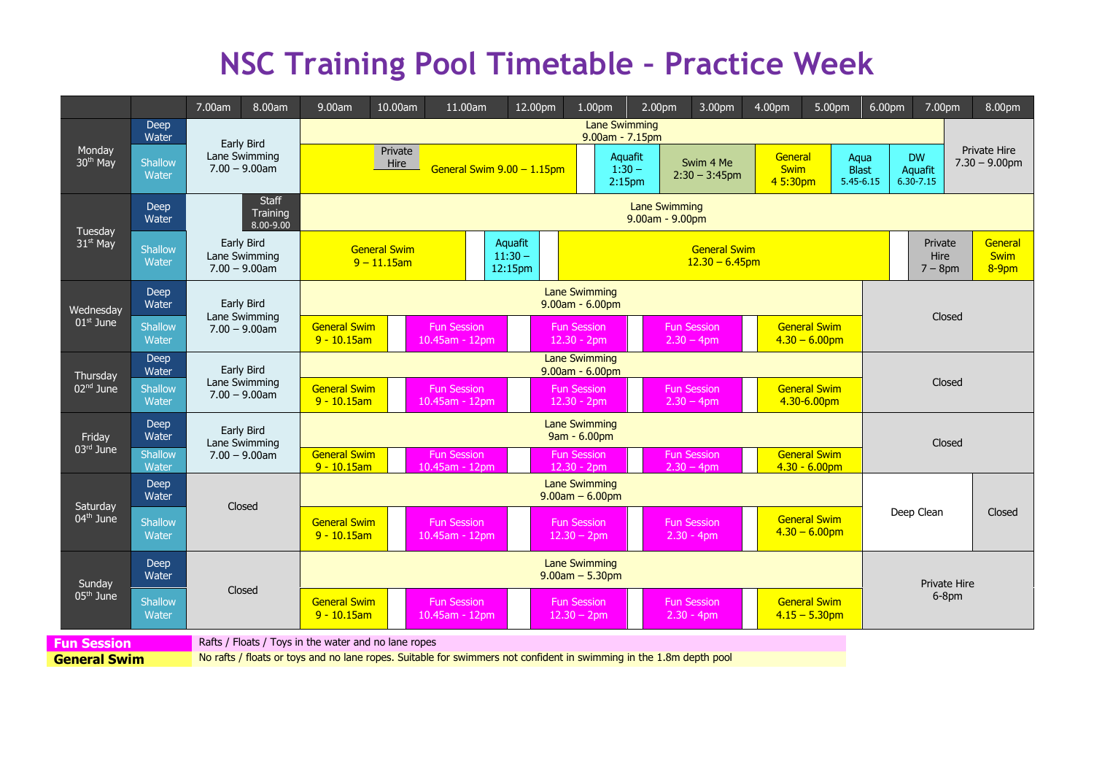## **NSC Training Pool Timetable – Practice Week**

|                                 |                         | 7.00am                                          | 8.00am                                               | 9.00am                                                                        | 10.00am                                                                                                                                                                                          | 11.00am                              |  | 12.00pm                                  | 1.00pm                              |                                                                                | 2.00pm                        | 3.00pm                             | 4.00pm                             | 5.00pm                                  | 6.00pm                                |                                       | 7.00pm                             | 8.00pm                           |
|---------------------------------|-------------------------|-------------------------------------------------|------------------------------------------------------|-------------------------------------------------------------------------------|--------------------------------------------------------------------------------------------------------------------------------------------------------------------------------------------------|--------------------------------------|--|------------------------------------------|-------------------------------------|--------------------------------------------------------------------------------|-------------------------------|------------------------------------|------------------------------------|-----------------------------------------|---------------------------------------|---------------------------------------|------------------------------------|----------------------------------|
|                                 | <b>Deep</b><br>Water    | Early Bird<br>Lane Swimming<br>$7.00 - 9.00$ am |                                                      | Lane Swimming<br>9.00am - 7.15pm                                              |                                                                                                                                                                                                  |                                      |  |                                          |                                     |                                                                                |                               |                                    |                                    |                                         |                                       |                                       |                                    |                                  |
| Monday<br>30 <sup>th</sup> May  | Shallow<br>Water        |                                                 |                                                      | Private<br>Hire<br>General Swim 9.00 - 1.15pm                                 |                                                                                                                                                                                                  |                                      |  |                                          |                                     | Aquafit<br>$1:30 -$<br>2:15 <sub>pm</sub>                                      | Swim 4 Me<br>$2:30 - 3:45$ pm |                                    | General<br><b>Swim</b><br>4 5:30pm |                                         | Aqua<br><b>Blast</b><br>$5.45 - 6.15$ | <b>DW</b><br>Aquafit<br>$6.30 - 7.15$ |                                    | Private Hire<br>$7.30 - 9.00$ pm |
| Tuesday<br>31 <sup>st</sup> May | Deep<br>Water           | <b>Staff</b><br>Training<br>8.00-9.00           |                                                      | <b>Lane Swimming</b><br>$9.00am - 9.00pm$                                     |                                                                                                                                                                                                  |                                      |  |                                          |                                     |                                                                                |                               |                                    |                                    |                                         |                                       |                                       |                                    |                                  |
|                                 | Shallow<br>Water        | Early Bird<br>Lane Swimming<br>$7.00 - 9.00$ am |                                                      | Aquafit<br><b>General Swim</b><br>$11:30 -$<br>$9 - 11.15$ am<br>12:15pm      |                                                                                                                                                                                                  |                                      |  | <b>General Swim</b><br>$12.30 - 6.45$ pm |                                     |                                                                                |                               |                                    |                                    |                                         | Private<br>Hire<br>$7 - 8$ pm         |                                       | General<br><b>Swim</b><br>$8-9$ pm |                                  |
| Wednesday<br>$01st$ June        | Deep<br>Water           | Early Bird<br>Lane Swimming<br>$7.00 - 9.00$ am |                                                      | <b>Lane Swimming</b><br>$9.00am - 6.00pm$                                     |                                                                                                                                                                                                  |                                      |  |                                          |                                     |                                                                                |                               |                                    |                                    |                                         |                                       |                                       |                                    |                                  |
|                                 | Shallow<br>Water        |                                                 |                                                      | <b>General Swim</b><br><b>Fun Session</b><br>$9 - 10.15$ am<br>10.45am - 12pm |                                                                                                                                                                                                  |                                      |  |                                          | <b>Fun Session</b><br>$12.30 - 2pm$ | <b>General Swim</b><br><b>Fun Session</b><br>$2.30 - 4$ pm<br>$4.30 - 6.00$ pm |                               |                                    |                                    |                                         | Closed                                |                                       |                                    |                                  |
| Thursday                        | Deep<br>Water           | Early Bird<br>Lane Swimming<br>$7.00 - 9.00$ am |                                                      | <b>Lane Swimming</b><br>$9.00am - 6.00pm$                                     |                                                                                                                                                                                                  |                                      |  |                                          |                                     |                                                                                |                               |                                    |                                    |                                         |                                       |                                       |                                    |                                  |
| 02 <sup>nd</sup> June           | Shallow<br>Water        |                                                 |                                                      |                                                                               | <b>General Swim</b><br><b>General Swim</b><br><b>Fun Session</b><br><b>Fun Session</b><br><b>Fun Session</b><br>$9 - 10.15$ am<br>$12.30 - 2pm$<br>$2.30 - 4pm$<br>4.30-6.00pm<br>10.45am - 12pm |                                      |  |                                          |                                     |                                                                                |                               | Closed                             |                                    |                                         |                                       |                                       |                                    |                                  |
| Friday                          | Deep<br>Water           | Early Bird<br>Lane Swimming<br>$7.00 - 9.00$ am |                                                      | <b>Lane Swimming</b><br>9am - 6.00pm                                          |                                                                                                                                                                                                  |                                      |  |                                          |                                     |                                                                                |                               |                                    |                                    |                                         |                                       | Closed                                |                                    |                                  |
| $03rd$ June                     | <b>Shallow</b><br>Water |                                                 |                                                      | <b>General Swim</b><br>$9 - 10.15$ am                                         | <b>General Swim</b><br><b>Fun Session</b><br><b>Fun Session</b><br><b>Fun Session</b><br>$4.30 - 6.00$ pm<br>10.45am - 12pm<br>$12.30 - 2pm$<br>$2.30 - 4pm$                                     |                                      |  |                                          |                                     |                                                                                |                               |                                    |                                    |                                         |                                       |                                       |                                    |                                  |
| Saturday<br>$04th$ June         | Deep<br>Water           | Closed                                          |                                                      | <b>Lane Swimming</b><br>$9.00am - 6.00pm$                                     |                                                                                                                                                                                                  |                                      |  |                                          |                                     |                                                                                |                               |                                    |                                    |                                         |                                       |                                       |                                    |                                  |
|                                 | Shallow<br>Water        |                                                 |                                                      | <b>General Swim</b><br>$9 - 10.15$ am                                         |                                                                                                                                                                                                  | <b>Fun Session</b><br>10.45am - 12pm |  |                                          | <b>Fun Session</b><br>$12.30 - 2pm$ |                                                                                |                               | <b>Fun Session</b><br>$2.30 - 4pm$ |                                    | <b>General Swim</b><br>$4.30 - 6.00$ pm |                                       | Deep Clean                            |                                    | Closed                           |
| Sunday<br>$05th$ June           | <b>Deep</b><br>Water    | Closed                                          |                                                      | <b>Lane Swimming</b><br>$9.00am - 5.30pm$                                     |                                                                                                                                                                                                  |                                      |  |                                          |                                     |                                                                                |                               |                                    |                                    |                                         | <b>Private Hire</b>                   |                                       |                                    |                                  |
|                                 | Shallow<br>Water        |                                                 |                                                      | <b>General Swim</b><br>$9 - 10.15$ am                                         |                                                                                                                                                                                                  | <b>Fun Session</b><br>10.45am - 12pm |  |                                          | <b>Fun Session</b><br>$12.30 - 2pm$ |                                                                                |                               | <b>Fun Session</b><br>$2.30 - 4pm$ |                                    | <b>General Swim</b><br>$4.15 - 5.30$ pm |                                       | 6-8pm                                 |                                    |                                  |
| <b>Fun Session</b>              |                         |                                                 | Rafts / Floats / Toys in the water and no lane ropes |                                                                               |                                                                                                                                                                                                  |                                      |  |                                          |                                     |                                                                                |                               |                                    |                                    |                                         |                                       |                                       |                                    |                                  |

**General Swim** No rafts / floats or toys and no lane ropes. Suitable for swimmers not confident in swimming in the 1.8m depth pool